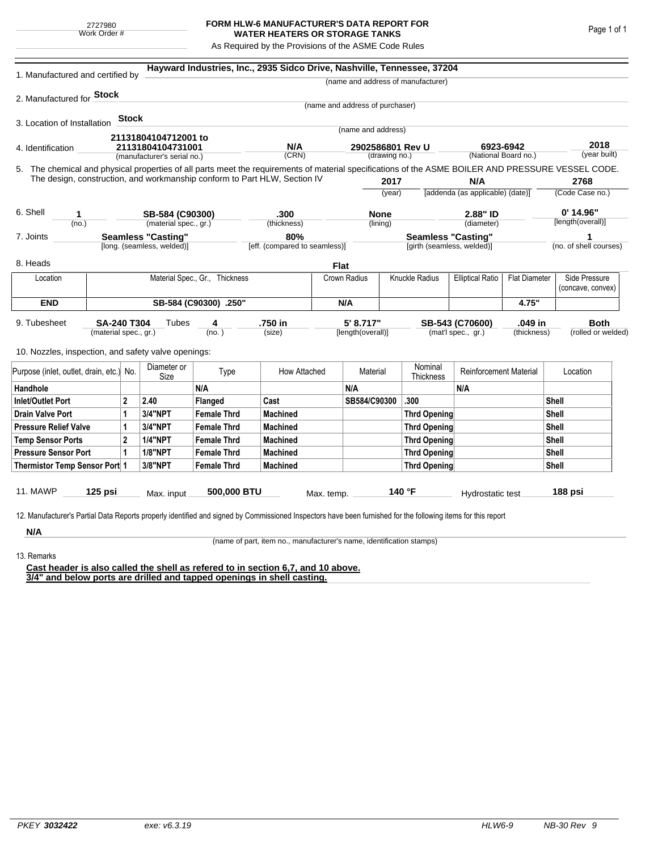## **FORM HLW-6 MANUFACTURER'S DATA REPORT FOR WATER HEATERS OR STORAGE TANKS**

As Required by the Provisions of the ASME Code Rules

| 1. Manufactured and certified by                                                                                                                                                                                                               |                                |              |                                          |                               | Hayward Industries, Inc., 2935 Sidco Drive, Nashville, Tennessee, 37204 |            |                                                         |                     |                                                                 |                                   |                        |                                    |                      |  |
|------------------------------------------------------------------------------------------------------------------------------------------------------------------------------------------------------------------------------------------------|--------------------------------|--------------|------------------------------------------|-------------------------------|-------------------------------------------------------------------------|------------|---------------------------------------------------------|---------------------|-----------------------------------------------------------------|-----------------------------------|------------------------|------------------------------------|----------------------|--|
|                                                                                                                                                                                                                                                |                                |              |                                          |                               |                                                                         |            |                                                         |                     | (name and address of manufacturer)                              |                                   |                        |                                    |                      |  |
| 2. Manufactured for <b>Stock</b>                                                                                                                                                                                                               |                                |              |                                          |                               |                                                                         |            |                                                         |                     |                                                                 |                                   |                        |                                    |                      |  |
|                                                                                                                                                                                                                                                |                                |              |                                          |                               |                                                                         |            | (name and address of purchaser)                         |                     |                                                                 |                                   |                        |                                    |                      |  |
| 3. Location of Installation                                                                                                                                                                                                                    |                                | <b>Stock</b> |                                          |                               |                                                                         |            | (name and address)                                      |                     |                                                                 |                                   |                        |                                    |                      |  |
|                                                                                                                                                                                                                                                |                                |              | 21131804104712001 to                     |                               |                                                                         |            |                                                         |                     |                                                                 |                                   |                        |                                    |                      |  |
| 4. Identification                                                                                                                                                                                                                              |                                |              | 21131804104731001                        |                               | N/A<br>(CRN)                                                            |            | 2902586801 Rev U<br>(drawing no.)                       |                     |                                                                 | 6923-6942<br>(National Board no.) |                        |                                    | 2018<br>(year built) |  |
|                                                                                                                                                                                                                                                |                                |              | (manufacturer's serial no.)              |                               |                                                                         |            |                                                         |                     |                                                                 |                                   |                        |                                    |                      |  |
| 5. The chemical and physical properties of all parts meet the requirements of material specifications of the ASME BOILER AND PRESSURE VESSEL CODE.<br>The design, construction, and workmanship conform to Part HLW, Section IV<br>2017<br>N/A |                                |              |                                          |                               |                                                                         |            |                                                         |                     | 2768                                                            |                                   |                        |                                    |                      |  |
|                                                                                                                                                                                                                                                |                                |              |                                          |                               |                                                                         |            | (year)                                                  |                     | [addenda (as applicable) (date)]                                |                                   |                        | (Code Case no.)                    |                      |  |
|                                                                                                                                                                                                                                                |                                |              |                                          |                               |                                                                         |            |                                                         |                     |                                                                 |                                   |                        |                                    |                      |  |
| 6. Shell<br>1<br>(no.)                                                                                                                                                                                                                         |                                |              | SB-584 (C90300)<br>(material spec., gr.) |                               | .300<br>(thickness)                                                     |            | <b>None</b><br>(lining)                                 |                     |                                                                 | 2.88" ID<br>(diameter)            |                        | $0'$ 14.96"<br>[length(overall)]   |                      |  |
|                                                                                                                                                                                                                                                |                                |              |                                          |                               | 80%                                                                     |            |                                                         |                     |                                                                 |                                   |                        |                                    | 1                    |  |
| <b>Seamless "Casting"</b><br>7. Joints<br>[long. (seamless, welded)]                                                                                                                                                                           |                                |              |                                          | [eff. (compared to seamless)] |                                                                         |            | <b>Seamless "Casting"</b><br>[girth (seamless, welded)] |                     |                                                                 |                                   | (no. of shell courses) |                                    |                      |  |
| 8. Heads                                                                                                                                                                                                                                       |                                |              |                                          |                               |                                                                         |            | Flat                                                    |                     |                                                                 |                                   |                        |                                    |                      |  |
| Location                                                                                                                                                                                                                                       | Material Spec., Gr., Thickness |              |                                          |                               |                                                                         |            | <b>Knuckle Radius</b><br>Crown Radius                   |                     | <b>Elliptical Ratio</b>                                         | <b>Flat Diameter</b>              |                        | Side Pressure<br>(concave, convex) |                      |  |
| <b>END</b>                                                                                                                                                                                                                                     |                                |              |                                          | SB-584 (C90300) .250"         |                                                                         |            | N/A                                                     |                     |                                                                 | 4.75"                             |                        |                                    |                      |  |
| 9. Tubesheet<br>SA-240 T304<br>(material spec., gr.)                                                                                                                                                                                           |                                |              | Tubes                                    | 4<br>(no. )                   | .750 in<br>(size)                                                       |            | 5' 8.717"<br>[length(overall)]                          |                     | .049 in<br>SB-543 (C70600)<br>(mat'l spec., gr.)<br>(thickness) |                                   |                        | <b>Both</b><br>(rolled or welded)  |                      |  |
| 10. Nozzles, inspection, and safety valve openings:                                                                                                                                                                                            |                                |              |                                          |                               |                                                                         |            |                                                         |                     |                                                                 |                                   |                        |                                    |                      |  |
| Purpose (inlet, outlet, drain, etc.) No.                                                                                                                                                                                                       |                                |              | Diameter or<br>Size                      | Type                          | How Attached                                                            |            | Material                                                |                     | Nominal<br><b>Thickness</b>                                     | <b>Reinforcement Material</b>     |                        |                                    | Location             |  |
| Handhole                                                                                                                                                                                                                                       |                                |              |                                          | N/A                           |                                                                         |            | N/A                                                     |                     |                                                                 | N/A                               |                        |                                    |                      |  |
| $\overline{2}$<br><b>Inlet/Outlet Port</b>                                                                                                                                                                                                     |                                |              | 2.40                                     | Flanged                       | Cast                                                                    |            | SB584/C90300                                            |                     | .300                                                            |                                   |                        | Shell                              |                      |  |
| <b>Drain Valve Port</b><br>1                                                                                                                                                                                                                   |                                |              | 3/4"NPT                                  | <b>Female Thrd</b>            | <b>Machined</b>                                                         |            |                                                         |                     | <b>Thrd Opening</b>                                             |                                   |                        |                                    | <b>Shell</b>         |  |
| <b>Pressure Relief Valve</b><br>1                                                                                                                                                                                                              |                                |              | 3/4"NPT                                  | <b>Female Thrd</b>            | <b>Machined</b>                                                         |            |                                                         | Thrd Opening        |                                                                 |                                   |                        | Shell                              |                      |  |
| $\overline{2}$<br><b>Temp Sensor Ports</b>                                                                                                                                                                                                     |                                |              | <b>1/4"NPT</b>                           | <b>Female Thrd</b>            | <b>Machined</b>                                                         |            |                                                         |                     | Thrd Opening                                                    |                                   | Shell                  |                                    |                      |  |
| <b>Pressure Sensor Port</b><br>1                                                                                                                                                                                                               |                                |              | <b>1/8"NPT</b>                           | <b>Female Thrd</b>            | <b>Machined</b>                                                         |            |                                                         |                     | Thrd Opening                                                    |                                   |                        | Shell                              |                      |  |
| Thermistor Temp Sensor Port 1                                                                                                                                                                                                                  |                                |              | 3/8"NPT                                  | <b>Female Thrd</b>            | <b>Machined</b>                                                         |            |                                                         | <b>Thrd Opening</b> |                                                                 |                                   | <b>Shell</b>           |                                    |                      |  |
| 11. MAWP                                                                                                                                                                                                                                       | 125 psi                        |              | Max. input                               | 500,000 BTU                   |                                                                         | Max. temp. |                                                         |                     | 140 °F                                                          | Hydrostatic test                  |                        |                                    | 188 psi              |  |
| 12. Manufacturer's Partial Data Reports properly identified and signed by Commissioned Inspectors have been furnished for the following items for this report                                                                                  |                                |              |                                          |                               |                                                                         |            |                                                         |                     |                                                                 |                                   |                        |                                    |                      |  |
| N/A                                                                                                                                                                                                                                            |                                |              |                                          |                               |                                                                         |            |                                                         |                     |                                                                 |                                   |                        |                                    |                      |  |

(name of part, item no., manufacturer's name, identification stamps)

13. Remarks

**Cast header is also called the shell as refered to in section 6,7, and 10 above. 3/4" and below ports are drilled and tapped openings in shell casting.**